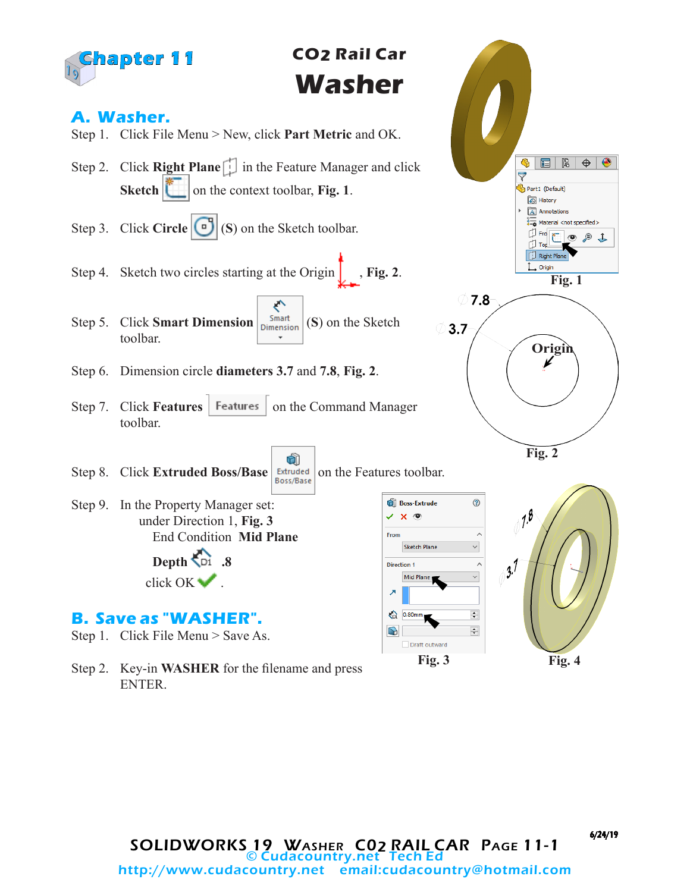

# **CO2 Rail Car Washer**

### **A. Washer.**

- Step 1. Click File Menu > New, click **Part Metric** and OK.
- Step 2. Click **Right Plane** in the Feature Manager and click **Sketch**  $\begin{bmatrix} \bullet \\ \bullet \end{bmatrix}$  on the context toolbar, **Fig. 1**.
- Step 3. Click **Circle** (**S**) on the Sketch toolbar.
- Step 4. Sketch two circles starting at the Origin **Fig. 2**.
- ← Step 5. Click **Smart Dimension**  $\begin{bmatrix}$  Smart (S) on the Sketch toolbar.
- Step 6. Dimension circle **diameters 3.7** and **7.8**, **Fig. 2**.
- Step 7. Click **Features** | Features | on the Command Manager toolbar.

û

- Step 8. Click **Extruded Boss/Base** *Extruded* on the Features toolbar.
- Step 9. In the Property Manager set: under Direction 1, **Fig. 3** End Condition **Mid Plane Depth .8**

click OK ...

## **B. Save as "WASHER".**

- Step 1. Click File Menu > Save As.
- Step 2. Key-in **WASHER** for the filename and press ENTER.



**Fig. 3**

Draft outward

**Boss-Extrude** 

**Sketch Plane** 

Mid Plane

 $\times$   $\times$   $\circ$ From

**Direction 1** 

↗

↔  $0.80<sub>n</sub>$ 

 $\Omega$ 

6/24/19

**Fig. 4**

**Fig. 2**

 $\sqrt{7.8}$ 

 $3^{1}$ 

**Origin**

**Fig. 1**

目降

 $\mathfrak{B}$ 

Part1 (Default) History  $\overline{A}$  Annotations  $\frac{8}{3-6}$  Material <not specified>  $\frac{1}{2}$  Fre  $\boxed{\bullet}$ 

**U** Top Right Plane L Origin

 $\overline{\nabla}$ 

⊘ 7.8

 $^{\circ}$ 

 $\lambda$ 

Ä

 $\Rightarrow$ 

 $\left| \div \right|$ 

 $3.7$ 

◉

 $\bigoplus$ 

€  $\perp$